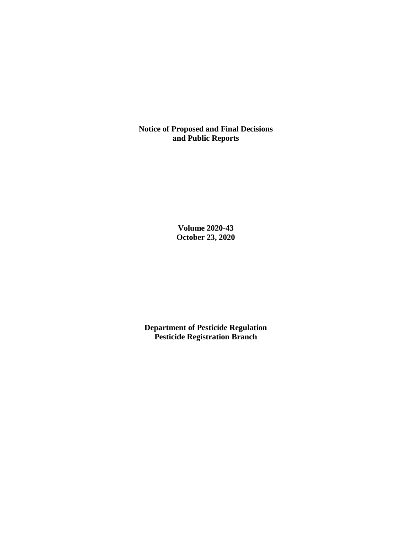**Notice of Proposed and Final Decisions and Public Reports**

> **Volume 2020-43 October 23, 2020**

**Department of Pesticide Regulation Pesticide Registration Branch**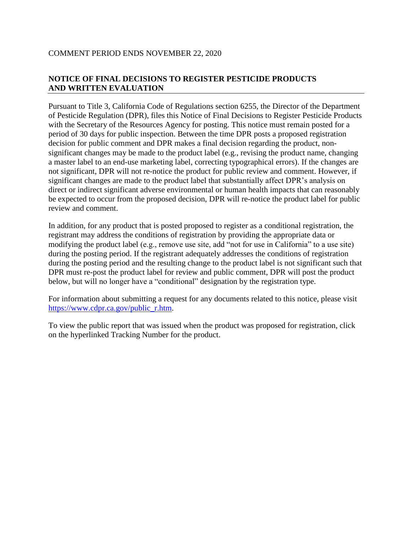### COMMENT PERIOD ENDS NOVEMBER 22, 2020

## **NOTICE OF FINAL DECISIONS TO REGISTER PESTICIDE PRODUCTS AND WRITTEN EVALUATION**

Pursuant to Title 3, California Code of Regulations section 6255, the Director of the Department of Pesticide Regulation (DPR), files this Notice of Final Decisions to Register Pesticide Products with the Secretary of the Resources Agency for posting. This notice must remain posted for a period of 30 days for public inspection. Between the time DPR posts a proposed registration decision for public comment and DPR makes a final decision regarding the product, nonsignificant changes may be made to the product label (e.g., revising the product name, changing a master label to an end-use marketing label, correcting typographical errors). If the changes are not significant, DPR will not re-notice the product for public review and comment. However, if significant changes are made to the product label that substantially affect DPR's analysis on direct or indirect significant adverse environmental or human health impacts that can reasonably be expected to occur from the proposed decision, DPR will re-notice the product label for public review and comment.

In addition, for any product that is posted proposed to register as a conditional registration, the registrant may address the conditions of registration by providing the appropriate data or modifying the product label (e.g., remove use site, add "not for use in California" to a use site) during the posting period. If the registrant adequately addresses the conditions of registration during the posting period and the resulting change to the product label is not significant such that DPR must re-post the product label for review and public comment, DPR will post the product below, but will no longer have a "conditional" designation by the registration type.

For information about submitting a request for any documents related to this notice, please visit [https://www.cdpr.ca.gov/public\\_r.htm.](https://www.cdpr.ca.gov/public_r.htm)

To view the public report that was issued when the product was proposed for registration, click on the hyperlinked Tracking Number for the product.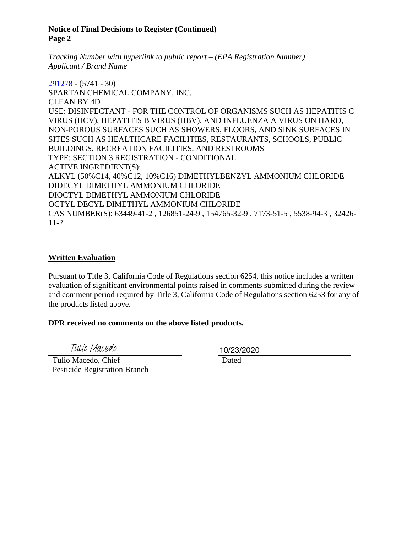#### **Notice of Final Decisions to Register (Continued) Page 2**

*Tracking Number with hyperlink to public report – (EPA Registration Number) Applicant / Brand Name*

[291278](https://www.cdpr.ca.gov/docs/registration/nod/public_reports/291278.pdf) - (5741 - 30) SPARTAN CHEMICAL COMPANY, INC. CLEAN BY 4D USE: DISINFECTANT - FOR THE CONTROL OF ORGANISMS SUCH AS HEPATITIS C VIRUS (HCV), HEPATITIS B VIRUS (HBV), AND INFLUENZA A VIRUS ON HARD, NON-POROUS SURFACES SUCH AS SHOWERS, FLOORS, AND SINK SURFACES IN SITES SUCH AS HEALTHCARE FACILITIES, RESTAURANTS, SCHOOLS, PUBLIC BUILDINGS, RECREATION FACILITIES, AND RESTROOMS TYPE: SECTION 3 REGISTRATION - CONDITIONAL ACTIVE INGREDIENT(S): ALKYL (50%C14, 40%C12, 10%C16) DIMETHYLBENZYL AMMONIUM CHLORIDE DIDECYL DIMETHYL AMMONIUM CHLORIDE DIOCTYL DIMETHYL AMMONIUM CHLORIDE OCTYL DECYL DIMETHYL AMMONIUM CHLORIDE CAS NUMBER(S): 63449-41-2 , 126851-24-9 , 154765-32-9 , 7173-51-5 , 5538-94-3 , 32426- 11-2

#### **Written Evaluation**

Pursuant to Title 3, California Code of Regulations section 6254, this notice includes a written evaluation of significant environmental points raised in comments submitted during the review and comment period required by Title 3, California Code of Regulations section 6253 for any of the products listed above.

#### **DPR received no comments on the above listed products.**

Tulio Macedo

10/23/2020

 Tulio Macedo, Chief Pesticide Registration Branch

Dated